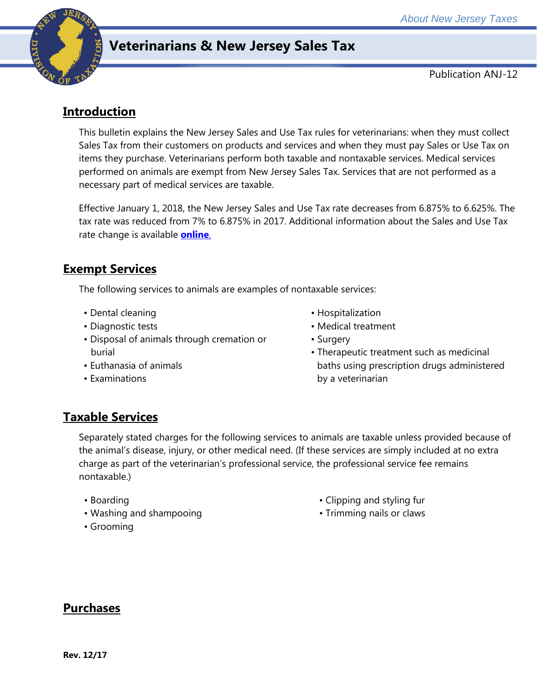

## **Veterinarians & New Jersey Sales Tax**

Publication ANJ-12

## **Introduction**

This bulletin explains the New Jersey Sales and Use Tax rules for veterinarians: when they must collect Sales Tax from their customers on products and services and when they must pay Sales or Use Tax on items they purchase. Veterinarians perform both taxable and nontaxable services. Medical services performed on animals are exempt from New Jersey Sales Tax. Services that are not performed as a necessary part of medical services are taxable.

Effective January 1, 2018, the New Jersey Sales and Use Tax rate decreases from 6.875% to 6.625%. The tax rate was reduced from 7% to 6.875% in 2017. Additional information about the Sales and Use Tax rate change is available **[online](http://www.state.nj.us/treasury/taxation/ratechange/su-overview.shtml)**.

## **Exempt Services**

The following services to animals are examples of nontaxable services:

- Dental cleaning
- Diagnostic tests
- Disposal of animals through cremation or burial
- Euthanasia of animals
- Examinations
- Hospitalization
- Medical treatment
- Surgery
- Therapeutic treatment such as medicinal baths using prescription drugs administered by a veterinarian

## **Taxable Services**

Separately stated charges for the following services to animals are taxable unless provided because of the animal's disease, injury, or other medical need. (If these services are simply included at no extra charge as part of the veterinarian's professional service, the professional service fee remains nontaxable.)

- Boarding
- Washing and shampooing
- Grooming
- Clipping and styling fur
- Trimming nails or claws

# **Purchases**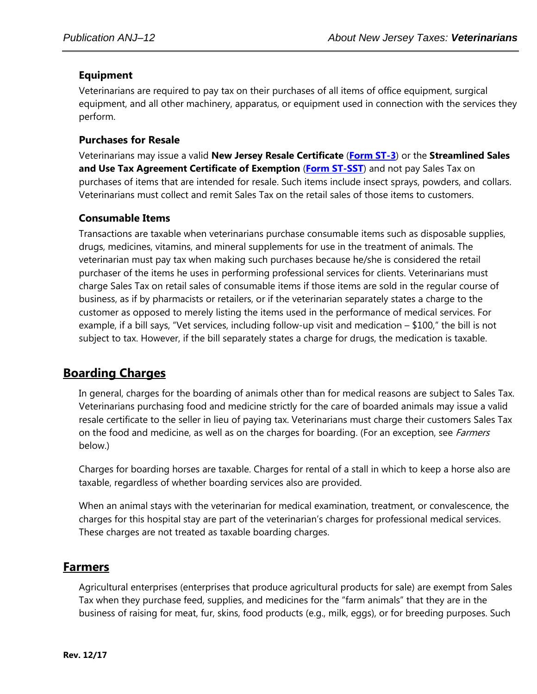#### **Equipment**

Veterinarians are required to pay tax on their purchases of all items of office equipment, surgical equipment, and all other machinery, apparatus, or equipment used in connection with the services they perform.

#### **Purchases for Resale**

Veterinarians may issue a valid **New Jersey Resale Certificate** (**[Form ST-3](http://www.state.nj.us/treasury/taxation/pdf/other_forms/sales/st3.pdf)**) or the **Streamlined Sales and Use Tax Agreement Certificate of Exemption** (**[Form ST-SST](http://www.state.nj.us/treasury/taxation/pdf/other_forms/sales/st_sst.pdf)**) and not pay Sales Tax on purchases of items that are intended for resale. Such items include insect sprays, powders, and collars. Veterinarians must collect and remit Sales Tax on the retail sales of those items to customers.

#### **Consumable Items**

Transactions are taxable when veterinarians purchase consumable items such as disposable supplies, drugs, medicines, vitamins, and mineral supplements for use in the treatment of animals. The veterinarian must pay tax when making such purchases because he/she is considered the retail purchaser of the items he uses in performing professional services for clients. Veterinarians must charge Sales Tax on retail sales of consumable items if those items are sold in the regular course of business, as if by pharmacists or retailers, or if the veterinarian separately states a charge to the customer as opposed to merely listing the items used in the performance of medical services. For example, if a bill says, "Vet services, including follow-up visit and medication – \$100," the bill is not subject to tax. However, if the bill separately states a charge for drugs, the medication is taxable.

## **Boarding Charges**

In general, charges for the boarding of animals other than for medical reasons are subject to Sales Tax. Veterinarians purchasing food and medicine strictly for the care of boarded animals may issue a valid resale certificate to the seller in lieu of paying tax. Veterinarians must charge their customers Sales Tax on the food and medicine, as well as on the charges for boarding. (For an exception, see *Farmers* below.)

Charges for boarding horses are taxable. Charges for rental of a stall in which to keep a horse also are taxable, regardless of whether boarding services also are provided.

When an animal stays with the veterinarian for medical examination, treatment, or convalescence, the charges for this hospital stay are part of the veterinarian's charges for professional medical services. These charges are not treated as taxable boarding charges.

### **Farmers**

Agricultural enterprises (enterprises that produce agricultural products for sale) are exempt from Sales Tax when they purchase feed, supplies, and medicines for the "farm animals" that they are in the business of raising for meat, fur, skins, food products (e.g., milk, eggs), or for breeding purposes. Such